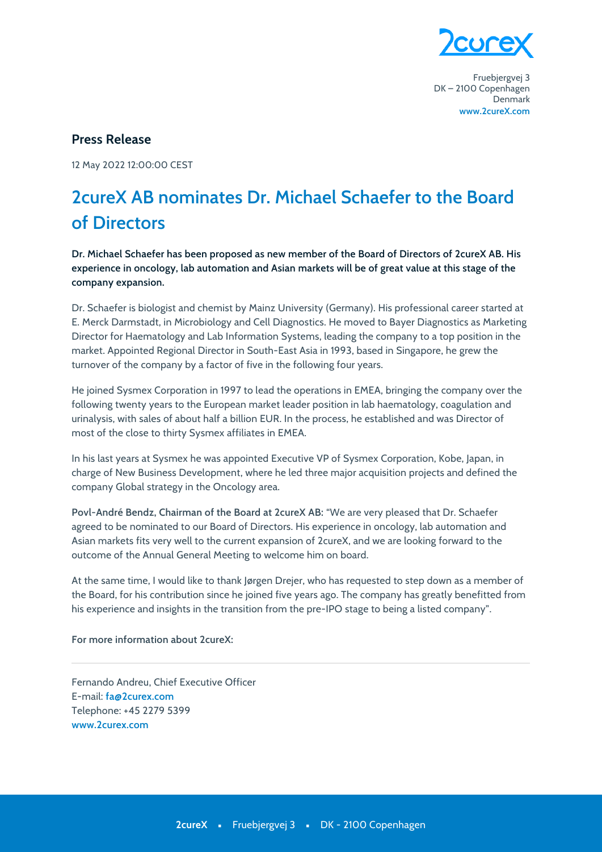

Fruebjergvej 3 DK-2100 Copenhagen Denmark www.2cureX.com

## **Press Release**

12 May 2022 12:00:00 CEST

## 2cureX AB nominates Dr. Michael Schaefer to the Board of Directors

Dr. Michael Schaefer has been proposed as new member of the Board of Directors of 2cureX AB. His experience in oncology, lab automation and Asian markets will be of great value at this stage of the company expansion.

Dr. Schaefer is biologist and chemist by Mainz University (Germany). His professional career started at E. Merck Darmstadt, in Microbiology and Cell Diagnostics. He moved to Bayer Diagnostics as Marketing Director for Haematology and Lab Information Systems, leading the company to a top position in the market. Appointed Regional Director in South-East Asia in 1993, based in Singapore, he grew the turnover of the company by a factor of five in the following four years.

He joined Sysmex Corporation in 1997 to lead the operations in EMEA, bringing the company over the following twenty years to the European market leader position in lab haematology, coagulation and urinalysis, with sales of about half a billion EUR. In the process, he established and was Director of most of the close to thirty Sysmex affiliates in EMEA.

In his last years at Sysmex he was appointed Executive VP of Sysmex Corporation, Kobe, Japan, in charge of New Business Development, where he led three major acquisition projects and defined the company Global strategy in the Oncology area.

Povl-André Bendz, Chairman of the Board at 2cureX AB: "We are very pleased that Dr. Schaefer agreed to be nominated to our Board of Directors. His experience in oncology, lab automation and Asian markets fits very well to the current expansion of 2cureX, and we are looking forward to the outcome of the Annual General Meeting to welcome him on board.

At the same time, I would like to thank Jørgen Drejer, who has requested to step down as a member of the Board, for his contribution since he joined five years ago. The company has greatly benefitted from his experience and insights in the transition from the pre-IPO stage to being a listed company".

## For more information about 2 cureX:

Fernando Andreu. Chief Executive Officer E-mail: fa@2curex.com Telephone: +45 2279 5399 www.2curex.com